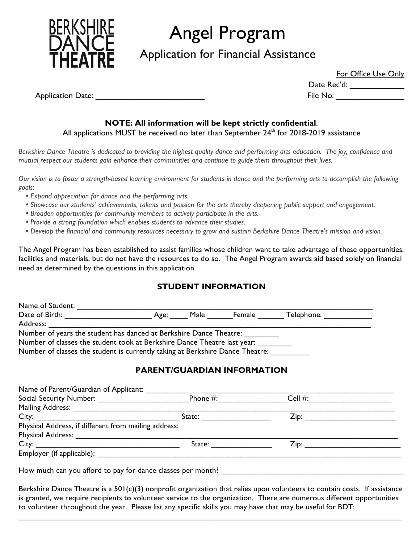

# Angel Program

Application for Financial Assistance

For Office Use Only

Date Rec'd: \_\_\_\_\_\_\_\_\_\_\_\_\_\_\_\_

Application Date: \_\_\_\_\_\_\_\_\_\_\_\_\_\_\_\_\_\_\_\_\_\_\_\_ File No: \_\_\_\_\_\_\_\_\_\_\_\_\_\_\_

## **NOTE: All information will be kept strictly confidential**.

All applications MUST be received no later than September 24<sup>th</sup> for 2018-2019 assistance

*Berkshire Dance Theatre is dedicated to providing the highest quality dance and performing arts education. The joy, confidence and mutual respect our students gain enhance their communities and continue to guide them throughout their lives.*

*Our vision is to foster a strength-based learning environment for students in dance and the performing arts to accomplish the following goals:*

- *Expand appreciation for dance and the performing arts.*
- *Showcase our students' achievements, talents and passion for the arts thereby deepening public support and engagement.*
- *Broaden opportunities for community members to actively participate in the arts.*
- *Provide a strong foundation which enables students to advance their studies.*
- *Develop the financial and community resources necessary to grow and sustain Berkshire Dance Theatre's mission and vision.*

The Angel Program has been established to assist families whose children want to take advantage of these opportunities, facilities and materials, but do not have the resources to do so. The Angel Program awards aid based solely on financial need as determined by the questions in this application.

## **STUDENT INFORMATION**

| Name of Student:                                                              |      |      |        |            |
|-------------------------------------------------------------------------------|------|------|--------|------------|
| Date of Birth:                                                                | Age: | Male | Female | Telephone: |
| Address:                                                                      |      |      |        |            |
| Number of years the student has danced at Berkshire Dance Theatre:            |      |      |        |            |
| Number of classes the student took at Berkshire Dance Theatre last year:      |      |      |        |            |
| Number of classes the student is currently taking at Berkshire Dance Theatre: |      |      |        |            |

## **PARENT/GUARDIAN INFORMATION**

| Name of Parent/Guardian of Applicant:                |          |                                |  |
|------------------------------------------------------|----------|--------------------------------|--|
|                                                      | Phone #: | Cell #: $\qquad \qquad \qquad$ |  |
| Mailing Address: __________________                  |          |                                |  |
|                                                      |          |                                |  |
| Physical Address, if different from mailing address: |          |                                |  |
| <b>Physical Address: Example 2018</b>                |          |                                |  |
|                                                      |          |                                |  |
|                                                      |          |                                |  |

How much can you afford to pay for dance classes per month? \_\_\_\_\_\_\_\_\_\_\_\_\_\_\_\_\_\_\_\_

Berkshire Dance Theatre is a 501(c)(3) nonprofit organization that relies upon volunteers to contain costs. If assistance is granted, we require recipients to volunteer service to the organization. There are numerous different opportunities to volunteer throughout the year. Please list any specific skills you may have that may be useful for BDT:

 $\mathcal{L}_\mathcal{L} = \mathcal{L}_\mathcal{L} = \mathcal{L}_\mathcal{L} = \mathcal{L}_\mathcal{L} = \mathcal{L}_\mathcal{L} = \mathcal{L}_\mathcal{L} = \mathcal{L}_\mathcal{L} = \mathcal{L}_\mathcal{L} = \mathcal{L}_\mathcal{L} = \mathcal{L}_\mathcal{L} = \mathcal{L}_\mathcal{L} = \mathcal{L}_\mathcal{L} = \mathcal{L}_\mathcal{L} = \mathcal{L}_\mathcal{L} = \mathcal{L}_\mathcal{L} = \mathcal{L}_\mathcal{L} = \mathcal{L}_\mathcal{L}$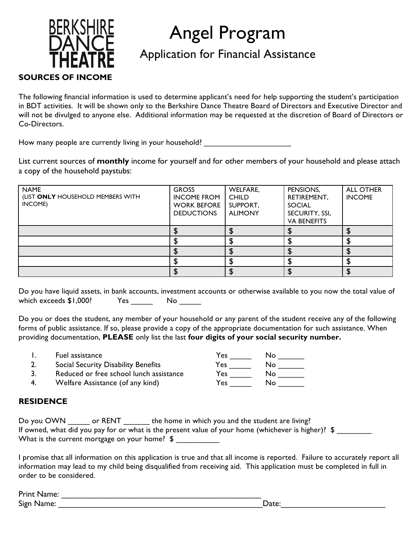# **BERKSHIRE SOURCES OF INCOME**

# Angel Program

# Application for Financial Assistance

The following financial information is used to determine applicant's need for help supporting the student's participation in BDT activities. It will be shown only to the Berkshire Dance Theatre Board of Directors and Executive Director and will not be divulged to anyone else. Additional information may be requested at the discretion of Board of Directors or Co-Directors.

How many people are currently living in your household?

List current sources of **monthly** income for yourself and for other members of your household and please attach a copy of the household paystubs:

| <b>NAME</b><br>(LIST ONLY HOUSEHOLD MEMBERS WITH<br>INCOME) | <b>GROSS</b><br><b>INCOME FROM</b><br><b>WORK BEFORE</b><br><b>DEDUCTIONS</b> | WELFARE,<br><b>CHILD</b><br>SUPPORT,<br><b>ALIMONY</b> | PENSIONS,<br>RETIREMENT,<br><b>SOCIAL</b><br>SECURITY, SSI,<br><b>VA BENEFITS</b> | <b>ALL OTHER</b><br><b>INCOME</b> |
|-------------------------------------------------------------|-------------------------------------------------------------------------------|--------------------------------------------------------|-----------------------------------------------------------------------------------|-----------------------------------|
|                                                             |                                                                               |                                                        |                                                                                   |                                   |
|                                                             |                                                                               |                                                        |                                                                                   |                                   |
|                                                             |                                                                               |                                                        |                                                                                   |                                   |
|                                                             |                                                                               |                                                        |                                                                                   |                                   |
|                                                             |                                                                               |                                                        |                                                                                   |                                   |

Do you have liquid assets, in bank accounts, investment accounts or otherwise available to you now the total value of which exceeds \$1,000? Yes \_\_\_\_\_\_ No \_\_\_\_\_

Do you or does the student, any member of your household or any parent of the student receive any of the following forms of public assistance. If so, please provide a copy of the appropriate documentation for such assistance. When providing documentation, **PLEASE** only list the last **four digits of your social security number.**

1. Fuel assistance  $\overline{Y}$  Pes \_\_\_\_\_ No \_\_\_\_\_ 2. Social Security Disability Benefits Tes Tes No Tes 3. Reduced or free school lunch assistance Yes \_\_\_\_\_ No \_\_\_\_\_\_ 4. Welfare Assistance (of any kind)

## **RESIDENCE**

| Do you OWN | or RENT                                        | the home in which you and the student are living?                                                   |
|------------|------------------------------------------------|-----------------------------------------------------------------------------------------------------|
|            |                                                | If owned, what did you pay for or what is the present value of your home (whichever is higher)? $\$ |
|            | What is the current mortgage on your home? $\$ |                                                                                                     |

I promise that all information on this application is true and that all income is reported. Failure to accurately report all information may lead to my child being disqualified from receiving aid. This application must be completed in full in order to be considered.

| Print<br>.<br>'Name. |        |
|----------------------|--------|
| Sign<br>ame.         | -Cate: |